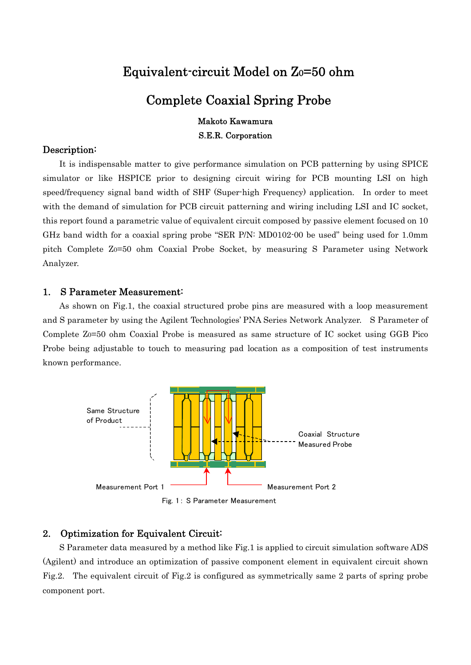# Equivalent-circuit Model on Z0=50 ohm

# Complete Coaxial Spring Probe

### Makoto Kawamura

S.E.R. Corporation

#### Description:

It is indispensable matter to give performance simulation on PCB patterning by using SPICE simulator or like HSPICE prior to designing circuit wiring for PCB mounting LSI on high speed/frequency signal band width of SHF (Super-high Frequency) application. In order to meet with the demand of simulation for PCB circuit patterning and wiring including LSI and IC socket, this report found a parametric value of equivalent circuit composed by passive element focused on 10 GHz band width for a coaxial spring probe "SER P/N: MD0102-00 be used" being used for 1.0mm pitch Complete Z0=50 ohm Coaxial Probe Socket, by measuring S Parameter using Network Analyzer.

## 1. S Parameter Measurement:

As shown on Fig.1, the coaxial structured probe pins are measured with a loop measurement and S parameter by using the Agilent Technologies' PNA Series Network Analyzer. S Parameter of Complete Z0=50 ohm Coaxial Probe is measured as same structure of IC socket using GGB Pico Probe being adjustable to touch to measuring pad location as a composition of test instruments known performance.



Fig. 1: S Parameter Measurement

## 2. Optimization for Equivalent Circuit:

S Parameter data measured by a method like Fig.1 is applied to circuit simulation software ADS (Agilent) and introduce an optimization of passive component element in equivalent circuit shown Fig.2. The equivalent circuit of Fig.2 is configured as symmetrically same 2 parts of spring probe component port.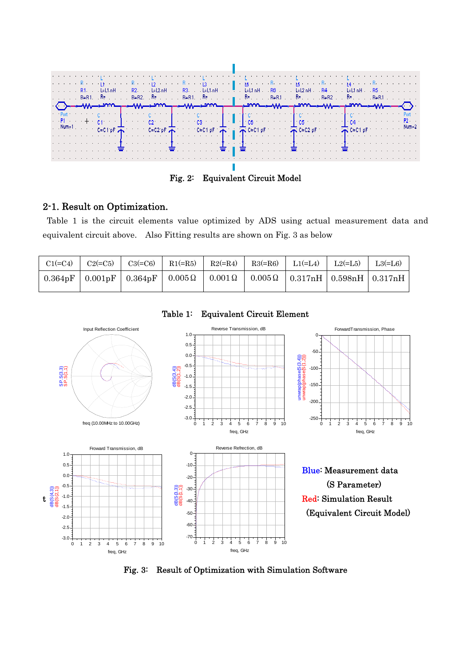

Fig. 2: Equivalent Circuit Model

## 2-1. Result on Optimization.

Table 1 is the circuit elements value optimized by ADS using actual measurement data and equivalent circuit above. Also Fitting results are shown on Fig. 3 as below

| $C1 (=C4)$ | $C2 (= C5)$ | $C3 (= C6)$ | $R1(=\R5)$ | $R2(=R4)$ $R3(=R6)$ | $\vert$ L <sub>1</sub> (=L <sub>4</sub> )                                                             | $L2(=\underline{L5})$ | $L3(=L6)$ |
|------------|-------------|-------------|------------|---------------------|-------------------------------------------------------------------------------------------------------|-----------------------|-----------|
|            |             |             |            |                     | $0.364pF   0.001pF   0.364pF   0.005\Omega   0.001\Omega   0.005\Omega   0.317nH   0.598nH   0.317nH$ |                       |           |



Table 1: Equivalent Circuit Element

Fig. 3: Result of Optimization with Simulation Software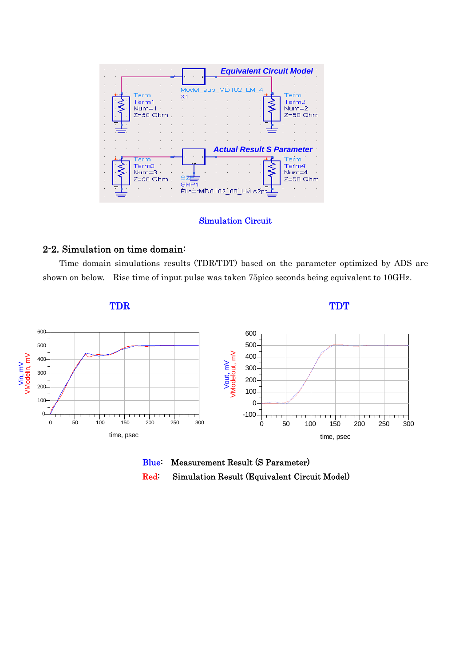|  |                                              |                                        |  |  | <b>Equivalent Circuit Model</b>                                         |
|--|----------------------------------------------|----------------------------------------|--|--|-------------------------------------------------------------------------|
|  | Term<br>Term1<br>$Num = 1$<br>$Z=50$ Ohm     | Model sub MD102 LM 4<br>X1             |  |  | Term<br>Term2<br>Num=2<br>Z=50 Ohm                                      |
|  | erm<br>Term3<br>Num= $3 \cdot$<br>$Z=50$ Ohm | R.A<br>SNP1<br>File="MD0102 00 LM.s2p" |  |  | <b>Actual Result S Parameter</b><br>Term<br>Term4<br>Num=4<br>.Z=50 Ohm |

### Simulation Circuit

## 2-2. Simulation on time domain:

Time domain simulations results (TDR/TDT) based on the parameter optimized by ADS are shown on below. Rise time of input pulse was taken 75pico seconds being equivalent to 10GHz.